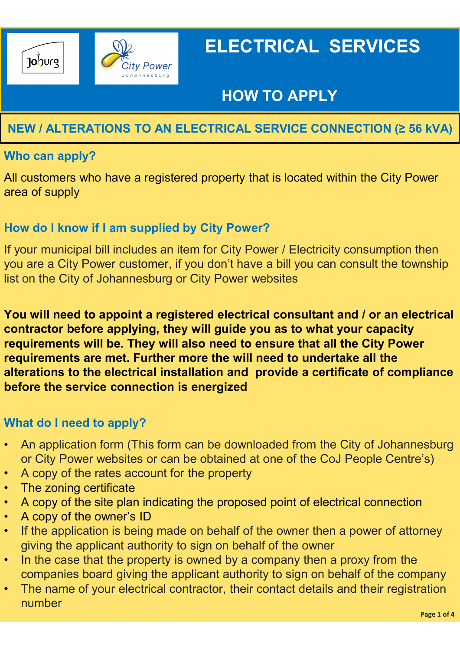

# HOW TO APPLY

## NEW / ALTERATIONS TO AN ELECTRICAL SERVICE CONNECTION (≥ 56 kVA)

### Who can apply?

All customers who have a registered property that is located within the City Power area of supply

### How do I know if I am supplied by City Power?

If your municipal bill includes an item for City Power / Electricity consumption then you are a City Power customer, if you don't have a bill you can consult the township list on the City of Johannesburg or City Power websites

You will need to appoint a registered electrical consultant and / or an electrical contractor before applying, they will guide you as to what your capacity requirements will be. They will also need to ensure that all the City Power requirements are met. Further more the will need to undertake all the alterations to the electrical installation and provide a certificate of compliance before the service connection is energized or City Power customer, if you don't have a bill you can consult the township<br>
list on the City of Johannesburg or City Power websites<br>
You will need to appoint a registered electrical consultant and / or an electrical<br>
co **Fou will need to appoint a registered electrical contractor before applying, they will guide you requirements are met. Further more the will need teen requirements are met. Further more the will need the service connecti Fou will need to appoint a registered electrical consultant and / or an electrical contractor before applying, they will guide you as to what your capacity requirements will be. They will also need to ensure that all th** For a performal value of the owner and the original contractor before applying, they will guide you as to whave the original and prequirements will be. They will also need to ensure that alterations to the electrical insta

### What do I need to apply?

- An application form (This form can be downloaded from the City of Johannesburg
- 
- 
- 
- 
- If the application is being made on behalf of the owner then a power of attorney giving the applicant authority to sign on behalf of the owner
- In the case that the property is owned by a company then a proxy from the companies board giving the applicant authority to sign on behalf of the company
- The name of your electrical contractor, their contact details and their registration number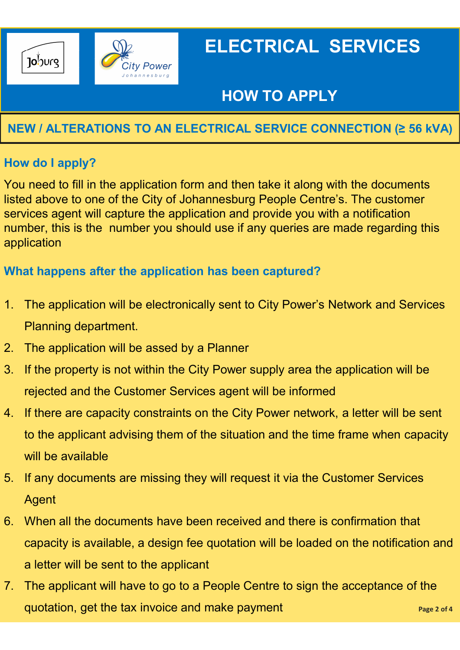

# HOW TO APPLY

## NEW / ALTERATIONS TO AN ELECTRICAL SERVICE CONNECTION (≥ 56 kVA)

### How do I apply?

You need to fill in the application form and then take it along with the documents listed above to one of the City of Johannesburg People Centre's. The customer services agent will capture the application and provide you with a notification number, this is the number you should use if any queries are made regarding this application 1. The application form and then take it along<br>
2. You need to fill in the application form and then take it along<br>
2. Initial dabove to one of the City of Johannesburg People Centr<br>
2. The application<br>
2. The application The value of the property is the city of Johannesburg People Centre's. The customer<br>sisted above to one of the City of Johannesburg People Centre's. The customer<br>services agent will capture the application and provide you

### What happens after the application has been captured?

- 1. The application will be electronically sent to City Power's Network and Services Planning department.
- 
- rejected and the Customer Services agent will be informed
- Services agent will capture the application and provide you with a notification<br>number, this is the number you should use if any queries are made regarding this<br>application<br>What happens after the application has been captu to the applicant advising them of the situation and the time frame when capacity will be available 1. The application will be electronically sent to City Power's Network and Services<br>
1. The application will be assed by a Planner<br>
1. If the property is not within the City Power supply area the application will be<br>
1. If
- Agent
- Framing department.<br>
2. The application will be assed by a Planner<br>
3. If the property is not within the City Power supply area the application will be<br>
rejected and the Customer Services agent will be informed<br>
4. If ther capacity is available, a design fee quotation will be loaded on the notification and a letter will be sent to the applicant rejected and the Customer Services agent will be informed<br>
4. If there are capacity constraints on the City Power network, a letter will be sent<br>
to the applicant advising them of the situation and the time frame when capa
- quotation, get the tax invoice and make payment example the state payment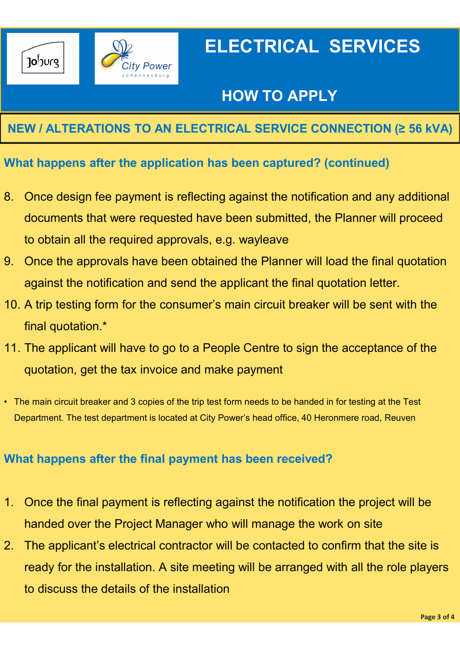

# HOW TO APPLY

## NEW / ALTERATIONS TO AN ELECTRICAL SERVICE CONNECTION (≥ 56 kVA)

### What happens after the application has been captured? (continued)

- Better CHECTRICAL SERVICES<br>
8. Once design fee payment is reflecting against the notification and any additional<br>
8. Once design fee payment is reflecting against the notification and any additional<br>
8. Once design fee pay documents that were requested have been submitted, the Planner will proceed to obtain all the required approvals, e.g. wayleave 99.909<br>
9. Once the approvals and ELECTRICAL SERVICE CONNECTION (2.56 kVA)<br>
9. Once design fee payment is reflecting against the notification and any additional<br>
9. Once design fee payment is reflecting against the notific NEW / ALTERATIONS TO AN ELECTRICAL SERVICE CONNECTION (2 56 kVA)<br>What happens after the application has been captured? (continued)<br>8. Once design fee payment is reflecting against the notification and any additional<br>docume What happens after the application has been captured? (continued)<br>
8. Once design fee payment is reflecting against the notification and any additional<br>
documents that were requested have been submitted, the Planner will p From Engine Projection and send have been submitted, the Planner will proceed<br>to obtain all the required approvals, e.g. wayleave<br>9. Once the approvals have been obtained the Planner will load the final quotation<br>against t
- against the notification and send the applicant the final quotation letter. documents that were requested nave been submitted, the Planner will proceed<br>to obtain all the required approvals, e.g. wayleave<br>Once the approvals have been obtained the Planner will load the final quotation<br>against the no
- final quotation.\*
- quotation, get the tax invoice and make payment 10. A trip testing form for the consumer's main circuit breaker will be sent with the<br>
final quotation.\*<br>
11. The applicant will have to go to a People Centre to sign the acceptance of the<br>
quotation, get the tax invoice a
- 

#### What happens after the final payment has been received?

- handed over the Project Manager who will manage the work on site
- 11. The applicant will have to go to a People Centre to sign the acceptance of the<br>quotation, get the tax invoice and make payment<br>The main circuit breaker and 3 copies of the trip test form needs to be handed in for testi ready for the installation. A site meeting will be arranged with all the role players to discuss the details of the installation